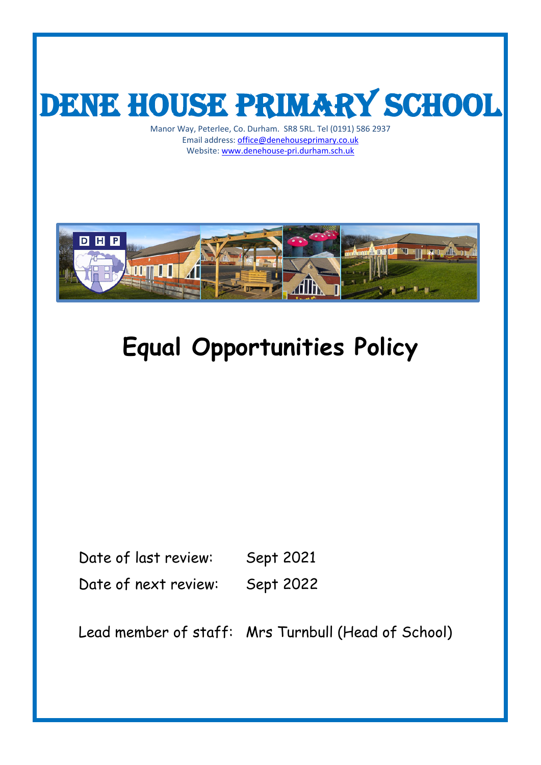

Manor Way, Peterlee, Co. Durham. SR8 5RL. Tel (0191) 586 2937 Email address[: office@denehouseprimary.co.uk](mailto:office@denehouseprimary.co.uk) Website: [www.denehouse-pri.durham.sch.uk](http://www.denehouse-pri.durham.sch.uk/)



# **Equal Opportunities Policy**

Date of last review: Sept 2021 Date of next review: Sept 2022

Lead member of staff: Mrs Turnbull (Head of School)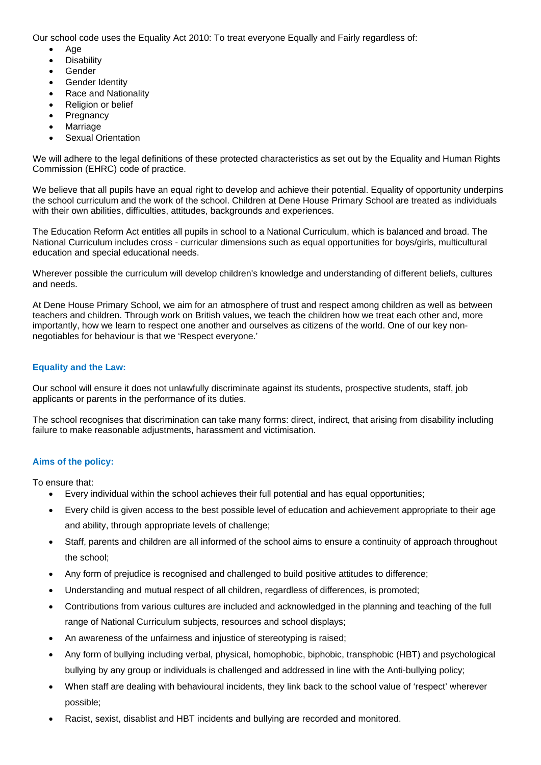Our school code uses the Equality Act 2010: To treat everyone Equally and Fairly regardless of:

- Age
- **Disability**
- Gender
- **Gender Identity**
- Race and Nationality
- Religion or belief
- **Pregnancy**
- **Marriage**
- **Sexual Orientation**

We will adhere to the legal definitions of these protected characteristics as set out by the Equality and Human Rights Commission (EHRC) code of practice.

We believe that all pupils have an equal right to develop and achieve their potential. Equality of opportunity underpins the school curriculum and the work of the school. Children at Dene House Primary School are treated as individuals with their own abilities, difficulties, attitudes, backgrounds and experiences.

The Education Reform Act entitles all pupils in school to a National Curriculum, which is balanced and broad. The National Curriculum includes cross - curricular dimensions such as equal opportunities for boys/girls, multicultural education and special educational needs.

Wherever possible the curriculum will develop children's knowledge and understanding of different beliefs, cultures and needs.

At Dene House Primary School, we aim for an atmosphere of trust and respect among children as well as between teachers and children. Through work on British values, we teach the children how we treat each other and, more importantly, how we learn to respect one another and ourselves as citizens of the world. One of our key nonnegotiables for behaviour is that we 'Respect everyone.'

# **Equality and the Law:**

Our school will ensure it does not unlawfully discriminate against its students, prospective students, staff, job applicants or parents in the performance of its duties.

The school recognises that discrimination can take many forms: direct, indirect, that arising from disability including failure to make reasonable adjustments, harassment and victimisation.

# **Aims of the policy:**

To ensure that:

- Every individual within the school achieves their full potential and has equal opportunities;
- Every child is given access to the best possible level of education and achievement appropriate to their age and ability, through appropriate levels of challenge;
- Staff, parents and children are all informed of the school aims to ensure a continuity of approach throughout the school;
- Any form of prejudice is recognised and challenged to build positive attitudes to difference;
- Understanding and mutual respect of all children, regardless of differences, is promoted;
- Contributions from various cultures are included and acknowledged in the planning and teaching of the full range of National Curriculum subjects, resources and school displays;
- An awareness of the unfairness and injustice of stereotyping is raised;
- Any form of bullying including verbal, physical, homophobic, biphobic, transphobic (HBT) and psychological bullying by any group or individuals is challenged and addressed in line with the Anti-bullying policy;
- When staff are dealing with behavioural incidents, they link back to the school value of 'respect' wherever possible;
- Racist, sexist, disablist and HBT incidents and bullying are recorded and monitored.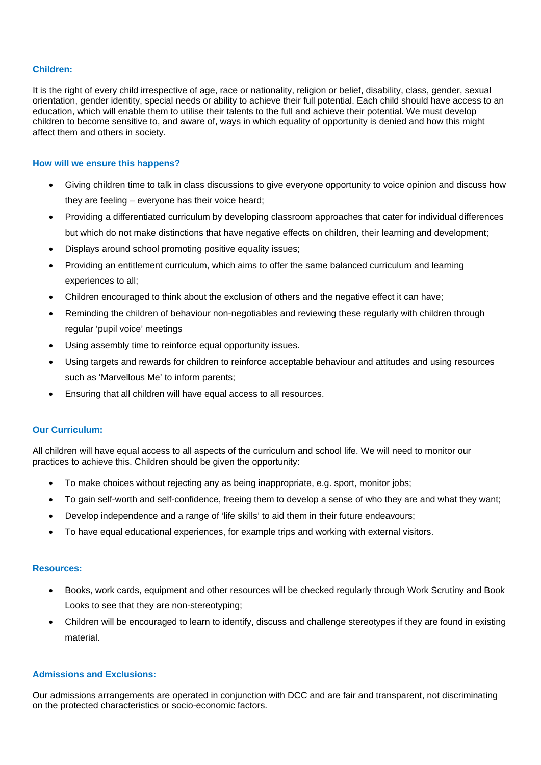#### **Children:**

It is the right of every child irrespective of age, race or nationality, religion or belief, disability, class, gender, sexual orientation, gender identity, special needs or ability to achieve their full potential. Each child should have access to an education, which will enable them to utilise their talents to the full and achieve their potential. We must develop children to become sensitive to, and aware of, ways in which equality of opportunity is denied and how this might affect them and others in society.

#### **How will we ensure this happens?**

- Giving children time to talk in class discussions to give everyone opportunity to voice opinion and discuss how they are feeling – everyone has their voice heard;
- Providing a differentiated curriculum by developing classroom approaches that cater for individual differences but which do not make distinctions that have negative effects on children, their learning and development;
- Displays around school promoting positive equality issues;
- Providing an entitlement curriculum, which aims to offer the same balanced curriculum and learning experiences to all;
- Children encouraged to think about the exclusion of others and the negative effect it can have;
- Reminding the children of behaviour non-negotiables and reviewing these regularly with children through regular 'pupil voice' meetings
- Using assembly time to reinforce equal opportunity issues.
- Using targets and rewards for children to reinforce acceptable behaviour and attitudes and using resources such as 'Marvellous Me' to inform parents;
- Ensuring that all children will have equal access to all resources.

#### **Our Curriculum:**

All children will have equal access to all aspects of the curriculum and school life. We will need to monitor our practices to achieve this. Children should be given the opportunity:

- To make choices without rejecting any as being inappropriate, e.g. sport, monitor jobs;
- To gain self-worth and self-confidence, freeing them to develop a sense of who they are and what they want;
- Develop independence and a range of 'life skills' to aid them in their future endeavours;
- To have equal educational experiences, for example trips and working with external visitors.

#### **Resources:**

- Books, work cards, equipment and other resources will be checked regularly through Work Scrutiny and Book Looks to see that they are non-stereotyping;
- Children will be encouraged to learn to identify, discuss and challenge stereotypes if they are found in existing material.

# **Admissions and Exclusions:**

Our admissions arrangements are operated in conjunction with DCC and are fair and transparent, not discriminating on the protected characteristics or socio-economic factors.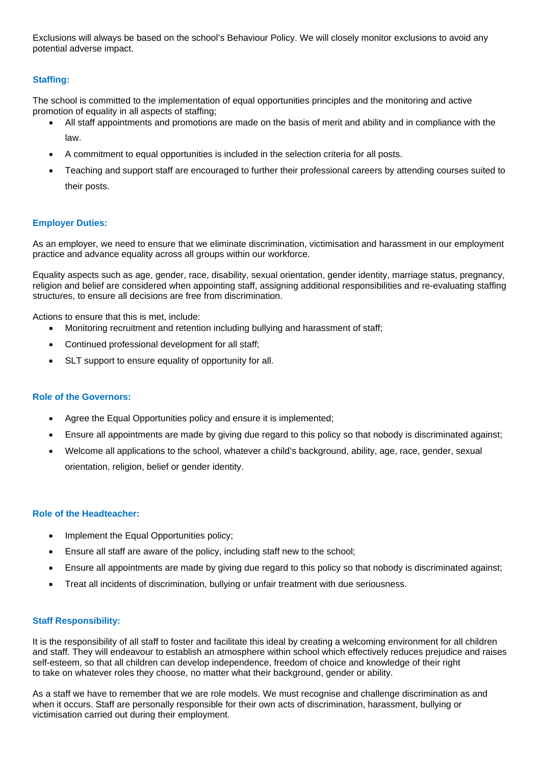Exclusions will always be based on the school's Behaviour Policy. We will closely monitor exclusions to avoid any potential adverse impact.

# **Staffing:**

The school is committed to the implementation of equal opportunities principles and the monitoring and active promotion of equality in all aspects of staffing;

- All staff appointments and promotions are made on the basis of merit and ability and in compliance with the law.
- A commitment to equal opportunities is included in the selection criteria for all posts.
- Teaching and support staff are encouraged to further their professional careers by attending courses suited to their posts.

# **Employer Duties:**

As an employer, we need to ensure that we eliminate discrimination, victimisation and harassment in our employment practice and advance equality across all groups within our workforce.

Equality aspects such as age, gender, race, disability, sexual orientation, gender identity, marriage status, pregnancy, religion and belief are considered when appointing staff, assigning additional responsibilities and re-evaluating staffing structures, to ensure all decisions are free from discrimination.

Actions to ensure that this is met, include:

- Monitoring recruitment and retention including bullying and harassment of staff;
- Continued professional development for all staff;
- SLT support to ensure equality of opportunity for all.

# **Role of the Governors:**

- Agree the Equal Opportunities policy and ensure it is implemented;
- Ensure all appointments are made by giving due regard to this policy so that nobody is discriminated against;
- Welcome all applications to the school, whatever a child's background, ability, age, race, gender, sexual orientation, religion, belief or gender identity.

# **Role of the Headteacher:**

- Implement the Equal Opportunities policy;
- Ensure all staff are aware of the policy, including staff new to the school;
- Ensure all appointments are made by giving due regard to this policy so that nobody is discriminated against;
- Treat all incidents of discrimination, bullying or unfair treatment with due seriousness.

# **Staff Responsibility:**

It is the responsibility of all staff to foster and facilitate this ideal by creating a welcoming environment for all children and staff. They will endeavour to establish an atmosphere within school which effectively reduces prejudice and raises self-esteem, so that all children can develop independence, freedom of choice and knowledge of their right to take on whatever roles they choose, no matter what their background, gender or ability.

As a staff we have to remember that we are role models. We must recognise and challenge discrimination as and when it occurs. Staff are personally responsible for their own acts of discrimination, harassment, bullying or victimisation carried out during their employment.